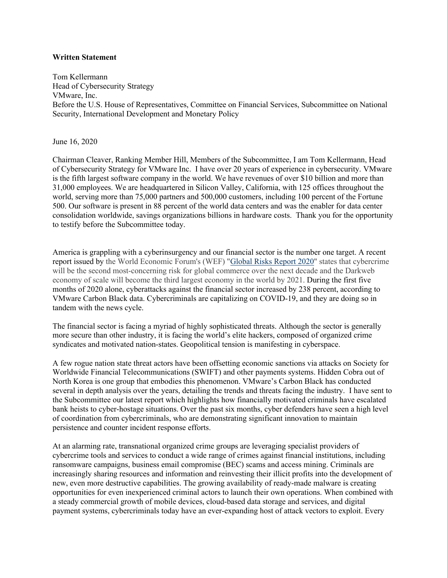## **Written Statement**

Tom Kellermann Head of Cybersecurity Strategy VMware, Inc. Before the U.S. House of Representatives, Committee on Financial Services, Subcommittee on National Security, International Development and Monetary Policy

June 16, 2020

Chairman Cleaver, Ranking Member Hill, Members of the Subcommittee, I am Tom Kellermann, Head of Cybersecurity Strategy for VMware Inc. I have over 20 years of experience in cybersecurity. VMware is the fifth largest software company in the world. We have revenues of over \$10 billion and more than 31,000 employees. We are headquartered in Silicon Valley, California, with 125 offices throughout the world, serving more than 75,000 partners and 500,000 customers, including 100 percent of the Fortune 500. Our software is present in 88 percent of the world data centers and was the enabler for data center consolidation worldwide, savings organizations billions in hardware costs. Thank you for the opportunity to testify before the Subcommittee today.

America is grappling with a cyberinsurgency and our financial sector is the number one target. A recent report issued by the World Economic Forum's (WEF) "Global Risks Report 2020" states that cybercrime will be the second most-concerning risk for global commerce over the next decade and the Darkweb economy of scale will become the third largest economy in the world by 2021. During the first five months of 2020 alone, cyberattacks against the financial sector increased by 238 percent, according to VMware Carbon Black data. Cybercriminals are capitalizing on COVID-19, and they are doing so in tandem with the news cycle.

The financial sector is facing a myriad of highly sophisticated threats. Although the sector is generally more secure than other industry, it is facing the world's elite hackers, composed of organized crime syndicates and motivated nation-states. Geopolitical tension is manifesting in cyberspace.

A few rogue nation state threat actors have been offsetting economic sanctions via attacks on Society for Worldwide Financial Telecommunications (SWIFT) and other payments systems. Hidden Cobra out of North Korea is one group that embodies this phenomenon. VMware's Carbon Black has conducted several in depth analysis over the years, detailing the trends and threats facing the industry. I have sent to the Subcommittee our latest report which highlights how financially motivated criminals have escalated bank heists to cyber-hostage situations. Over the past six months, cyber defenders have seen a high level of coordination from cybercriminals, who are demonstrating significant innovation to maintain persistence and counter incident response efforts.

At an alarming rate, transnational organized crime groups are leveraging specialist providers of cybercrime tools and services to conduct a wide range of crimes against financial institutions, including ransomware campaigns, business email compromise (BEC) scams and access mining. Criminals are increasingly sharing resources and information and reinvesting their illicit profits into the development of new, even more destructive capabilities. The growing availability of ready-made malware is creating opportunities for even inexperienced criminal actors to launch their own operations. When combined with a steady commercial growth of mobile devices, cloud-based data storage and services, and digital payment systems, cybercriminals today have an ever-expanding host of attack vectors to exploit. Every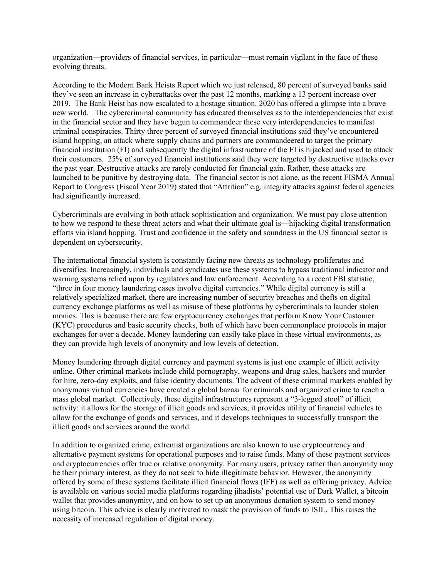organization—providers of financial services, in particular—must remain vigilant in the face of these evolving threats.

According to the Modern Bank Heists Report which we just released, 80 percent of surveyed banks said they've seen an increase in cyberattacks over the past 12 months, marking a 13 percent increase over 2019. The Bank Heist has now escalated to a hostage situation. 2020 has offered a glimpse into a brave new world. The cybercriminal community has educated themselves as to the interdependencies that exist in the financial sector and they have begun to commandeer these very interdependencies to manifest criminal conspiracies. Thirty three percent of surveyed financial institutions said they've encountered island hopping, an attack where supply chains and partners are commandeered to target the primary financial institution (FI) and subsequently the digital infrastructure of the FI is hijacked and used to attack their customers. 25% of surveyed financial institutions said they were targeted by destructive attacks over the past year. Destructive attacks are rarely conducted for financial gain. Rather, these attacks are launched to be punitive by destroying data. The financial sector is not alone, as the recent FISMA Annual Report to Congress (Fiscal Year 2019) stated that "Attrition" e.g. integrity attacks against federal agencies had significantly increased.

Cybercriminals are evolving in both attack sophistication and organization. We must pay close attention to how we respond to these threat actors and what their ultimate goal is—hijacking digital transformation efforts via island hopping. Trust and confidence in the safety and soundness in the US financial sector is dependent on cybersecurity.

The international financial system is constantly facing new threats as technology proliferates and diversifies. Increasingly, individuals and syndicates use these systems to bypass traditional indicator and warning systems relied upon by regulators and law enforcement. According to a recent FBI statistic, "three in four money laundering cases involve digital currencies." While digital currency is still a relatively specialized market, there are increasing number of security breaches and thefts on digital currency exchange platforms as well as misuse of these platforms by cybercriminals to launder stolen monies. This is because there are few cryptocurrency exchanges that perform Know Your Customer (KYC) procedures and basic security checks, both of which have been commonplace protocols in major exchanges for over a decade. Money laundering can easily take place in these virtual environments, as they can provide high levels of anonymity and low levels of detection.

Money laundering through digital currency and payment systems is just one example of illicit activity online. Other criminal markets include child pornography, weapons and drug sales, hackers and murder for hire, zero-day exploits, and false identity documents. The advent of these criminal markets enabled by anonymous virtual currencies have created a global bazaar for criminals and organized crime to reach a mass global market. Collectively, these digital infrastructures represent a "3-legged stool" of illicit activity: it allows for the storage of illicit goods and services, it provides utility of financial vehicles to allow for the exchange of goods and services, and it develops techniques to successfully transport the illicit goods and services around the world.

In addition to organized crime, extremist organizations are also known to use cryptocurrency and alternative payment systems for operational purposes and to raise funds. Many of these payment services and cryptocurrencies offer true or relative anonymity. For many users, privacy rather than anonymity may be their primary interest, as they do not seek to hide illegitimate behavior. However, the anonymity offered by some of these systems facilitate illicit financial flows (IFF) as well as offering privacy. Advice is available on various social media platforms regarding jihadists' potential use of Dark Wallet, a bitcoin wallet that provides anonymity, and on how to set up an anonymous donation system to send money using bitcoin. This advice is clearly motivated to mask the provision of funds to ISIL. This raises the necessity of increased regulation of digital money.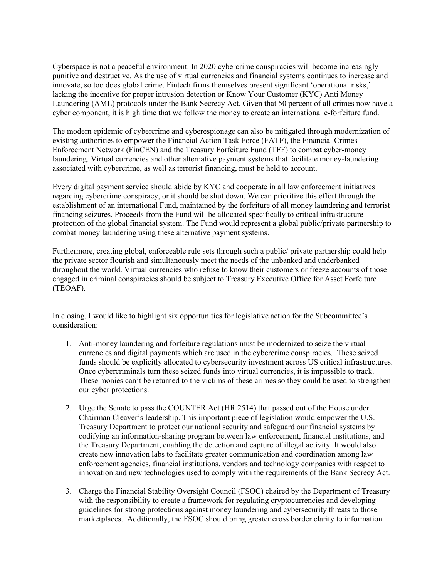Cyberspace is not a peaceful environment. In 2020 cybercrime conspiracies will become increasingly punitive and destructive. As the use of virtual currencies and financial systems continues to increase and innovate, so too does global crime. Fintech firms themselves present significant 'operational risks,' lacking the incentive for proper intrusion detection or Know Your Customer (KYC) Anti Money Laundering (AML) protocols under the Bank Secrecy Act. Given that 50 percent of all crimes now have a cyber component, it is high time that we follow the money to create an international e-forfeiture fund.

The modern epidemic of cybercrime and cyberespionage can also be mitigated through modernization of existing authorities to empower the Financial Action Task Force (FATF), the Financial Crimes Enforcement Network (FinCEN) and the Treasury Forfeiture Fund (TFF) to combat cyber-money laundering. Virtual currencies and other alternative payment systems that facilitate money-laundering associated with cybercrime, as well as terrorist financing, must be held to account.

Every digital payment service should abide by KYC and cooperate in all law enforcement initiatives regarding cybercrime conspiracy, or it should be shut down. We can prioritize this effort through the establishment of an international Fund, maintained by the forfeiture of all money laundering and terrorist financing seizures. Proceeds from the Fund will be allocated specifically to critical infrastructure protection of the global financial system. The Fund would represent a global public/private partnership to combat money laundering using these alternative payment systems.

Furthermore, creating global, enforceable rule sets through such a public/ private partnership could help the private sector flourish and simultaneously meet the needs of the unbanked and underbanked throughout the world. Virtual currencies who refuse to know their customers or freeze accounts of those engaged in criminal conspiracies should be subject to Treasury Executive Office for Asset Forfeiture (TEOAF).

In closing, I would like to highlight six opportunities for legislative action for the Subcommittee's consideration:

- 1. Anti-money laundering and forfeiture regulations must be modernized to seize the virtual currencies and digital payments which are used in the cybercrime conspiracies. These seized funds should be explicitly allocated to cybersecurity investment across US critical infrastructures. Once cybercriminals turn these seized funds into virtual currencies, it is impossible to track. These monies can't be returned to the victims of these crimes so they could be used to strengthen our cyber protections.
- 2. Urge the Senate to pass the COUNTER Act (HR 2514) that passed out of the House under Chairman Cleaver's leadership. This important piece of legislation would empower the U.S. Treasury Department to protect our national security and safeguard our financial systems by codifying an information-sharing program between law enforcement, financial institutions, and the Treasury Department, enabling the detection and capture of illegal activity. It would also create new innovation labs to facilitate greater communication and coordination among law enforcement agencies, financial institutions, vendors and technology companies with respect to innovation and new technologies used to comply with the requirements of the Bank Secrecy Act.
- 3. Charge the Financial Stability Oversight Council (FSOC) chaired by the Department of Treasury with the responsibility to create a framework for regulating cryptocurrencies and developing guidelines for strong protections against money laundering and cybersecurity threats to those marketplaces. Additionally, the FSOC should bring greater cross border clarity to information